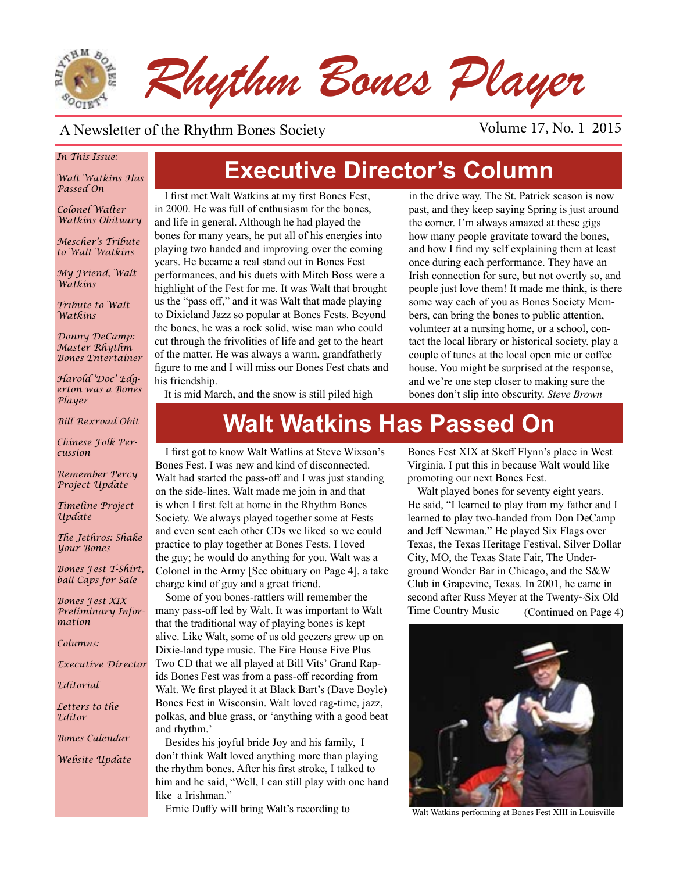

#### A Newsletter of the Rhythm Bones Society Volume 17, No. 1 2015

#### *In This Issue:*

*Walt Watkins Has Passed On*

*Colonel Walter Watkins Obituary*

*Mescher's Tribute to Walt Watkins*

*My Friend, Walt Watkins*

*Tribute to Walt Watkins*

*Donny DeCamp: Master Rhythm Bones Entertainer*

*Harold 'Doc' Edgerton was a Bones Player*

*Bill Rexroad Obit*

*Chinese Folk Percussion*

*Remember Percy Project Update*

*Timeline Project Update*

*The Jethros: Shake Your Bones*

*Bones Fest T-Shirt, ball Caps for Sale*

*Bones Fest XIX Preliminary Information*

*Columns:* 

*Executive Director*

*Editorial*

*Letters to the Editor*

*Bones Calendar*

*Website Update*

# **Executive Director's Column**

I first met Walt Watkins at my first Bones Fest, in 2000. He was full of enthusiasm for the bones, and life in general. Although he had played the bones for many years, he put all of his energies into playing two handed and improving over the coming years. He became a real stand out in Bones Fest performances, and his duets with Mitch Boss were a highlight of the Fest for me. It was Walt that brought us the "pass off," and it was Walt that made playing to Dixieland Jazz so popular at Bones Fests. Beyond the bones, he was a rock solid, wise man who could cut through the frivolities of life and get to the heart of the matter. He was always a warm, grandfatherly figure to me and I will miss our Bones Fest chats and his friendship.

in the drive way. The St. Patrick season is now past, and they keep saying Spring is just around the corner. I'm always amazed at these gigs how many people gravitate toward the bones, and how I find my self explaining them at least once during each performance. They have an Irish connection for sure, but not overtly so, and people just love them! It made me think, is there some way each of you as Bones Society Members, can bring the bones to public attention, volunteer at a nursing home, or a school, contact the local library or historical society, play a couple of tunes at the local open mic or coffee house. You might be surprised at the response, and we're one step closer to making sure the bones don't slip into obscurity. *Steve Brown*

It is mid March, and the snow is still piled high

# **Walt Watkins Has Passed On**

I first got to know Walt Watlins at Steve Wixson's Bones Fest. I was new and kind of disconnected. Walt had started the pass-off and I was just standing on the side-lines. Walt made me join in and that is when I first felt at home in the Rhythm Bones Society. We always played together some at Fests and even sent each other CDs we liked so we could practice to play together at Bones Fests. I loved the guy; he would do anything for you. Walt was a Colonel in the Army [See obituary on Page 4], a take charge kind of guy and a great friend.

Some of you bones-rattlers will remember the many pass-off led by Walt. It was important to Walt that the traditional way of playing bones is kept alive. Like Walt, some of us old geezers grew up on Dixie-land type music. The Fire House Five Plus Two CD that we all played at Bill Vits' Grand Rapids Bones Fest was from a pass-off recording from Walt. We first played it at Black Bart's (Dave Boyle) Bones Fest in Wisconsin. Walt loved rag-time, jazz, polkas, and blue grass, or 'anything with a good beat and rhythm.'

Besides his joyful bride Joy and his family, I don't think Walt loved anything more than playing the rhythm bones. After his first stroke, I talked to him and he said, "Well, I can still play with one hand like a Irishman."

Ernie Duffy will bring Walt's recording to

Bones Fest XIX at Skeff Flynn's place in West Virginia. I put this in because Walt would like promoting our next Bones Fest.

Walt played bones for seventy eight years. He said, "I learned to play from my father and I learned to play two-handed from Don DeCamp and Jeff Newman." He played Six Flags over Texas, the Texas Heritage Festival, Silver Dollar City, MO, the Texas State Fair, The Underground Wonder Bar in Chicago, and the S&W Club in Grapevine, Texas. In 2001, he came in second after Russ Meyer at the Twenty~Six Old Time Country Music (Continued on Page 4)



Walt Watkins performing at Bones Fest XIII in Louisville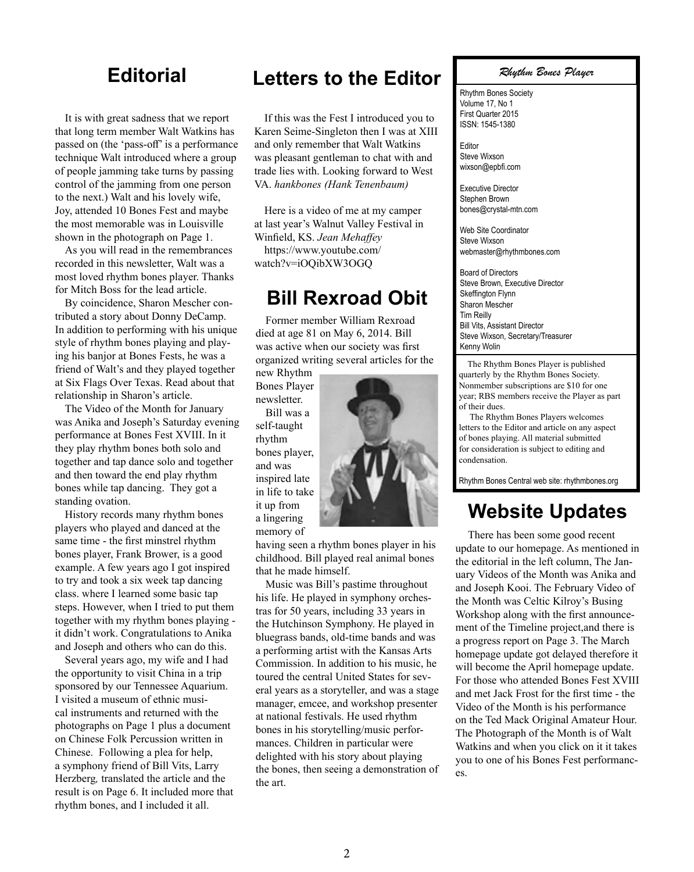It is with great sadness that we report that long term member Walt Watkins has passed on (the 'pass-off' is a performance technique Walt introduced where a group of people jamming take turns by passing control of the jamming from one person to the next.) Walt and his lovely wife, Joy, attended 10 Bones Fest and maybe the most memorable was in Louisville shown in the photograph on Page 1.

As you will read in the remembrances recorded in this newsletter, Walt was a most loved rhythm bones player. Thanks for Mitch Boss for the lead article.

By coincidence, Sharon Mescher contributed a story about Donny DeCamp. In addition to performing with his unique style of rhythm bones playing and playing his banjor at Bones Fests, he was a friend of Walt's and they played together at Six Flags Over Texas. Read about that relationship in Sharon's article.

The Video of the Month for January was Anika and Joseph's Saturday evening performance at Bones Fest XVIII. In it they play rhythm bones both solo and together and tap dance solo and together and then toward the end play rhythm bones while tap dancing. They got a standing ovation.

History records many rhythm bones players who played and danced at the same time - the first minstrel rhythm bones player, Frank Brower, is a good example. A few years ago I got inspired to try and took a six week tap dancing class. where I learned some basic tap steps. However, when I tried to put them together with my rhythm bones playing it didn't work. Congratulations to Anika and Joseph and others who can do this.

Several years ago, my wife and I had the opportunity to visit China in a trip sponsored by our Tennessee Aquarium. I visited a museum of ethnic musical instruments and returned with the photographs on Page 1 plus a document on Chinese Folk Percussion written in Chinese. Following a plea for help, a symphony friend of Bill Vits, Larry Herzberg*,* translated the article and the result is on Page 6. It included more that rhythm bones, and I included it all.

#### **Editorial Letters to the Editor**

If this was the Fest I introduced you to Karen Seime-Singleton then I was at XIII and only remember that Walt Watkins was pleasant gentleman to chat with and trade lies with. Looking forward to West VA. *hankbones (Hank Tenenbaum)*

Here is a video of me at my camper at last year's Walnut Valley Festival in Winfield, KS. *Jean Mehaffey* https://www.youtube.com/ watch?v=iOQibXW3OGQ

#### **Bill Rexroad Obit**

Former member William Rexroad died at age 81 on May 6, 2014. Bill was active when our society was first organized writing several articles for the

new Rhythm Bones Player newsletter. Bill was a self-taught rhythm bones player, and was inspired late in life to take it up from a lingering memory of

having seen a rhythm bones player in his childhood. Bill played real animal bones that he made himself.

Music was Bill's pastime throughout his life. He played in symphony orchestras for 50 years, including 33 years in the Hutchinson Symphony. He played in bluegrass bands, old-time bands and was a performing artist with the Kansas Arts Commission. In addition to his music, he toured the central United States for several years as a storyteller, and was a stage manager, emcee, and workshop presenter at national festivals. He used rhythm bones in his storytelling/music performances. Children in particular were delighted with his story about playing the bones, then seeing a demonstration of the art.

#### *Rhythm Bones Player*

Rhythm Bones Society Volume 17, No 1 First Quarter 2015 ISSN: 1545-1380

Editor Steve Wixson wixson@epbfi.com

Executive Director Stephen Brown bones@crystal-mtn.com

Web Site Coordinator Steve Wixson webmaster@rhythmbones.com

Board of Directors Steve Brown, Executive Director Skeffington Flynn Sharon Mescher Tim Reilly Bill Vits, Assistant Director Steve Wixson, Secretary/Treasurer Kenny Wolin

 The Rhythm Bones Player is published quarterly by the Rhythm Bones Society. Nonmember subscriptions are \$10 for one year; RBS members receive the Player as part of their dues.

 The Rhythm Bones Players welcomes letters to the Editor and article on any aspect of bones playing. All material submitted for consideration is subject to editing and condensation.

Rhythm Bones Central web site: rhythmbones.org

#### **Website Updates**

 There has been some good recent update to our homepage. As mentioned in the editorial in the left column, The January Videos of the Month was Anika and and Joseph Kooi. The February Video of the Month was Celtic Kilroy's Busing Workshop along with the first announcement of the Timeline project,and there is a progress report on Page 3. The March homepage update got delayed therefore it will become the April homepage update. For those who attended Bones Fest XVIII and met Jack Frost for the first time - the Video of the Month is his performance on the Ted Mack Original Amateur Hour. The Photograph of the Month is of Walt Watkins and when you click on it it takes you to one of his Bones Fest performances.

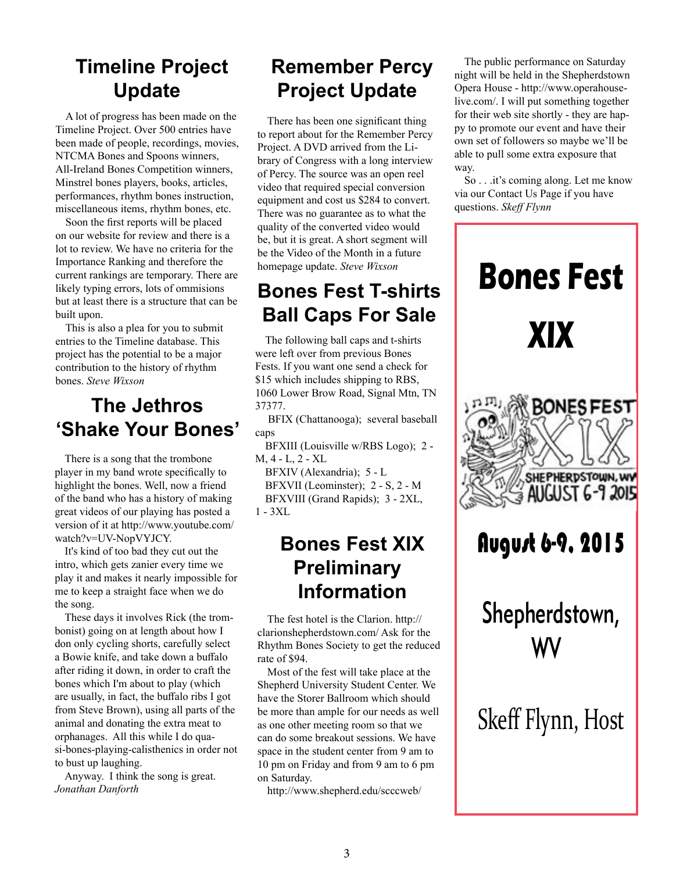# **Timeline Project Update**

A lot of progress has been made on the Timeline Project. Over 500 entries have been made of people, recordings, movies, NTCMA Bones and Spoons winners, All-Ireland Bones Competition winners, Minstrel bones players, books, articles, performances, rhythm bones instruction, miscellaneous items, rhythm bones, etc.

Soon the first reports will be placed on our website for review and there is a lot to review. We have no criteria for the Importance Ranking and therefore the current rankings are temporary. There are likely typing errors, lots of ommisions but at least there is a structure that can be built upon.

This is also a plea for you to submit entries to the Timeline database. This project has the potential to be a major contribution to the history of rhythm bones. *Steve Wixson*

### **The Jethros 'Shake Your Bones'**

There is a song that the trombone player in my band wrote specifically to highlight the bones. Well, now a friend of the band who has a history of making great videos of our playing has posted a version of it at http://www.youtube.com/ watch?v=UV-NopVYJCY.

It's kind of too bad they cut out the intro, which gets zanier every time we play it and makes it nearly impossible for me to keep a straight face when we do the song.

These days it involves Rick (the trombonist) going on at length about how I don only cycling shorts, carefully select a Bowie knife, and take down a buffalo after riding it down, in order to craft the bones which I'm about to play (which are usually, in fact, the buffalo ribs I got from Steve Brown), using all parts of the animal and donating the extra meat to orphanages. All this while I do quasi-bones-playing-calisthenics in order not to bust up laughing.

Anyway. I think the song is great. *Jonathan Danforth*

# **Remember Percy Project Update**

There has been one significant thing to report about for the Remember Percy Project. A DVD arrived from the Library of Congress with a long interview of Percy. The source was an open reel video that required special conversion equipment and cost us \$284 to convert. There was no guarantee as to what the quality of the converted video would be, but it is great. A short segment will be the Video of the Month in a future homepage update. *Steve Wixson*

# **Bones Fest T-shirts Ball Caps For Sale**

The following ball caps and t-shirts were left over from previous Bones Fests. If you want one send a check for \$15 which includes shipping to RBS, 1060 Lower Brow Road, Signal Mtn, TN 37377.

 BFIX (Chattanooga); several baseball caps

BFXIII (Louisville w/RBS Logo); 2 - M, 4 - L, 2 - XL

BFXIV (Alexandria); 5 - L BFXVII (Leominster); 2 - S, 2 - M BFXVIII (Grand Rapids); 3 - 2XL, 1 - 3XL

### **Bones Fest XIX Preliminary Information**

The fest hotel is the Clarion. http:// clarionshepherdstown.com/ Ask for the Rhythm Bones Society to get the reduced rate of \$94.

Most of the fest will take place at the Shepherd University Student Center. We have the Storer Ballroom which should be more than ample for our needs as well as one other meeting room so that we can do some breakout sessions. We have space in the student center from 9 am to 10 pm on Friday and from 9 am to 6 pm on Saturday.

http://www.shepherd.edu/scccweb/

The public performance on Saturday night will be held in the Shepherdstown Opera House - http://www.operahouselive.com/. I will put something together for their web site shortly - they are happy to promote our event and have their own set of followers so maybe we'll be able to pull some extra exposure that way.

So . . .it's coming along. Let me know via our Contact Us Page if you have questions. *Skeff Flynn*

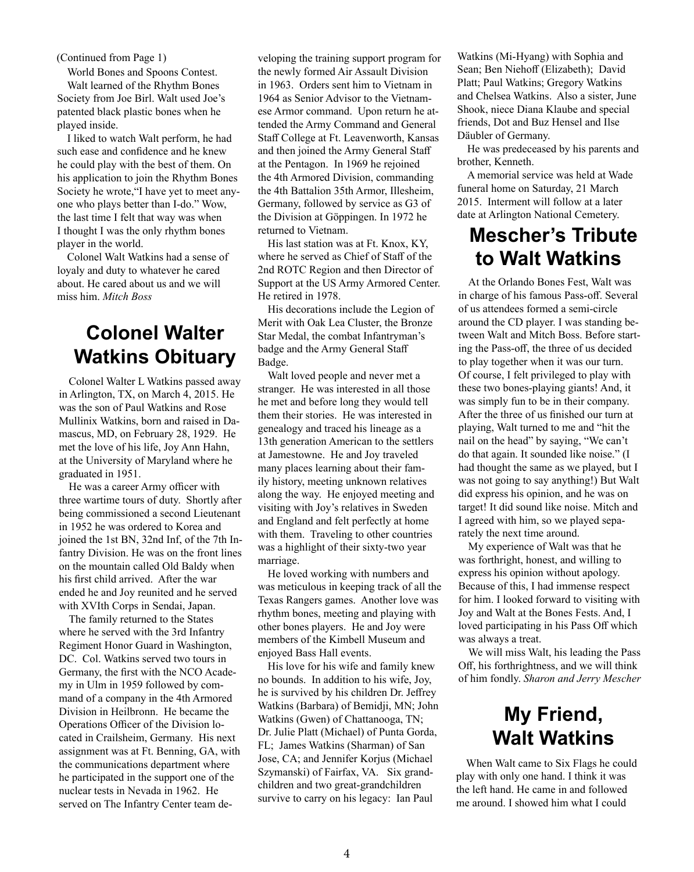(Continued from Page 1)

World Bones and Spoons Contest. Walt learned of the Rhythm Bones Society from Joe Birl. Walt used Joe's patented black plastic bones when he played inside.

I liked to watch Walt perform, he had such ease and confidence and he knew he could play with the best of them. On his application to join the Rhythm Bones Society he wrote,"I have yet to meet anyone who plays better than I-do." Wow, the last time I felt that way was when I thought I was the only rhythm bones player in the world.

Colonel Walt Watkins had a sense of loyaly and duty to whatever he cared about. He cared about us and we will miss him. *Mitch Boss*

### **Colonel Walter Watkins Obituary**

Colonel Walter L Watkins passed away in Arlington, TX, on March 4, 2015. He was the son of Paul Watkins and Rose Mullinix Watkins, born and raised in Damascus, MD, on February 28, 1929. He met the love of his life, Joy Ann Hahn, at the University of Maryland where he graduated in 1951.

He was a career Army officer with three wartime tours of duty. Shortly after being commissioned a second Lieutenant in 1952 he was ordered to Korea and joined the 1st BN, 32nd Inf, of the 7th Infantry Division. He was on the front lines on the mountain called Old Baldy when his first child arrived. After the war ended he and Joy reunited and he served with XVIth Corps in Sendai, Japan.

The family returned to the States where he served with the 3rd Infantry Regiment Honor Guard in Washington, DC. Col. Watkins served two tours in Germany, the first with the NCO Academy in Ulm in 1959 followed by command of a company in the 4th Armored Division in Heilbronn. He became the Operations Officer of the Division located in Crailsheim, Germany. His next assignment was at Ft. Benning, GA, with the communications department where he participated in the support one of the nuclear tests in Nevada in 1962. He served on The Infantry Center team developing the training support program for the newly formed Air Assault Division in 1963. Orders sent him to Vietnam in 1964 as Senior Advisor to the Vietnamese Armor command. Upon return he attended the Army Command and General Staff College at Ft. Leavenworth, Kansas and then joined the Army General Staff at the Pentagon. In 1969 he rejoined the 4th Armored Division, commanding the 4th Battalion 35th Armor, Illesheim, Germany, followed by service as G3 of the Division at Göppingen. In 1972 he returned to Vietnam.

His last station was at Ft. Knox, KY, where he served as Chief of Staff of the 2nd ROTC Region and then Director of Support at the US Army Armored Center. He retired in 1978.

His decorations include the Legion of Merit with Oak Lea Cluster, the Bronze Star Medal, the combat Infantryman's badge and the Army General Staff Badge.

Walt loved people and never met a stranger. He was interested in all those he met and before long they would tell them their stories. He was interested in genealogy and traced his lineage as a 13th generation American to the settlers at Jamestowne. He and Joy traveled many places learning about their family history, meeting unknown relatives along the way. He enjoyed meeting and visiting with Joy's relatives in Sweden and England and felt perfectly at home with them. Traveling to other countries was a highlight of their sixty-two year marriage.

He loved working with numbers and was meticulous in keeping track of all the Texas Rangers games. Another love was rhythm bones, meeting and playing with other bones players. He and Joy were members of the Kimbell Museum and enjoyed Bass Hall events.

His love for his wife and family knew no bounds. In addition to his wife, Joy, he is survived by his children Dr. Jeffrey Watkins (Barbara) of Bemidji, MN; John Watkins (Gwen) of Chattanooga, TN; Dr. Julie Platt (Michael) of Punta Gorda, FL; James Watkins (Sharman) of San Jose, CA; and Jennifer Korjus (Michael Szymanski) of Fairfax, VA. Six grandchildren and two great-grandchildren survive to carry on his legacy: Ian Paul

Watkins (Mi-Hyang) with Sophia and Sean; Ben Niehoff (Elizabeth); David Platt; Paul Watkins; Gregory Watkins and Chelsea Watkins. Also a sister, June Shook, niece Diana Klaube and special friends, Dot and Buz Hensel and Ilse Däubler of Germany.

He was predeceased by his parents and brother, Kenneth.

A memorial service was held at Wade funeral home on Saturday, 21 March 2015. Interment will follow at a later date at Arlington National Cemetery.

### **Mescher's Tribute to Walt Watkins**

At the Orlando Bones Fest, Walt was in charge of his famous Pass-off. Several of us attendees formed a semi-circle around the CD player. I was standing between Walt and Mitch Boss. Before starting the Pass-off, the three of us decided to play together when it was our turn. Of course, I felt privileged to play with these two bones-playing giants! And, it was simply fun to be in their company. After the three of us finished our turn at playing, Walt turned to me and "hit the nail on the head" by saying, "We can't do that again. It sounded like noise." (I had thought the same as we played, but I was not going to say anything!) But Walt did express his opinion, and he was on target! It did sound like noise. Mitch and I agreed with him, so we played separately the next time around.

My experience of Walt was that he was forthright, honest, and willing to express his opinion without apology. Because of this, I had immense respect for him. I looked forward to visiting with Joy and Walt at the Bones Fests. And, I loved participating in his Pass Off which was always a treat.

We will miss Walt, his leading the Pass Off, his forthrightness, and we will think of him fondly. *Sharon and Jerry Mescher*

# **My Friend, Walt Watkins**

When Walt came to Six Flags he could play with only one hand. I think it was the left hand. He came in and followed me around. I showed him what I could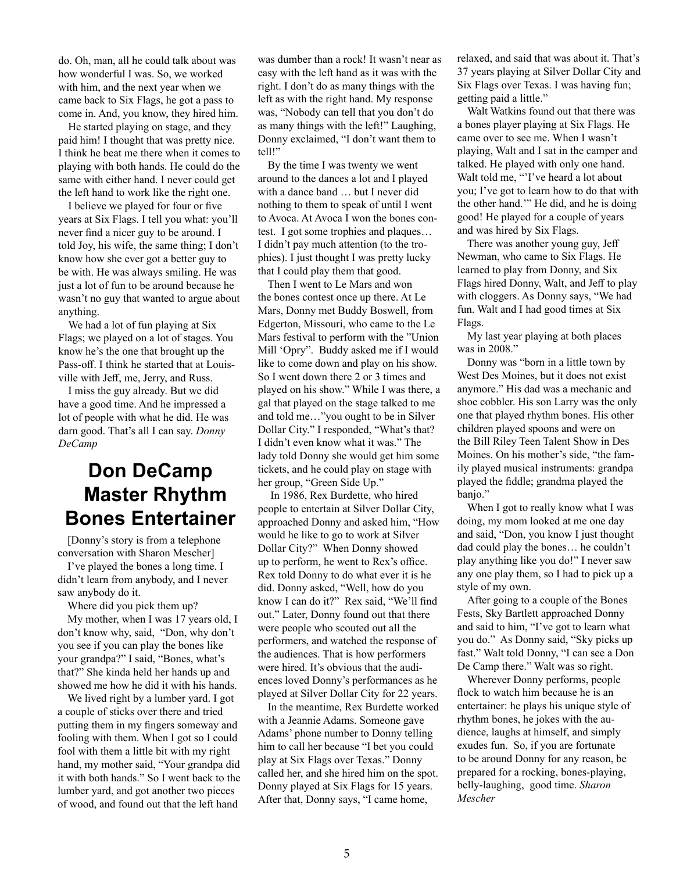do. Oh, man, all he could talk about was how wonderful I was. So, we worked with him, and the next year when we came back to Six Flags, he got a pass to come in. And, you know, they hired him.

He started playing on stage, and they paid him! I thought that was pretty nice. I think he beat me there when it comes to playing with both hands. He could do the same with either hand. I never could get the left hand to work like the right one.

I believe we played for four or five years at Six Flags. I tell you what: you'll never find a nicer guy to be around. I told Joy, his wife, the same thing; I don't know how she ever got a better guy to be with. He was always smiling. He was just a lot of fun to be around because he wasn't no guy that wanted to argue about anything.

We had a lot of fun playing at Six Flags; we played on a lot of stages. You know he's the one that brought up the Pass-off. I think he started that at Louisville with Jeff, me, Jerry, and Russ.

I miss the guy already. But we did have a good time. And he impressed a lot of people with what he did. He was darn good. That's all I can say. *Donny DeCamp*

### **Don DeCamp Master Rhythm Bones Entertainer**

[Donny's story is from a telephone conversation with Sharon Mescher]

I've played the bones a long time. I didn't learn from anybody, and I never saw anybody do it.

Where did you pick them up? My mother, when I was 17 years old, I don't know why, said, "Don, why don't you see if you can play the bones like your grandpa?" I said, "Bones, what's that?" She kinda held her hands up and showed me how he did it with his hands.

We lived right by a lumber yard. I got a couple of sticks over there and tried putting them in my fingers someway and fooling with them. When I got so I could fool with them a little bit with my right hand, my mother said, "Your grandpa did it with both hands." So I went back to the lumber yard, and got another two pieces of wood, and found out that the left hand

was dumber than a rock! It wasn't near as easy with the left hand as it was with the right. I don't do as many things with the left as with the right hand. My response was, "Nobody can tell that you don't do as many things with the left!" Laughing, Donny exclaimed, "I don't want them to tell!"

By the time I was twenty we went around to the dances a lot and I played with a dance band … but I never did nothing to them to speak of until I went to Avoca. At Avoca I won the bones contest. I got some trophies and plaques… I didn't pay much attention (to the trophies). I just thought I was pretty lucky that I could play them that good.

Then I went to Le Mars and won the bones contest once up there. At Le Mars, Donny met Buddy Boswell, from Edgerton, Missouri, who came to the Le Mars festival to perform with the "Union Mill 'Opry". Buddy asked me if I would like to come down and play on his show. So I went down there 2 or 3 times and played on his show." While I was there, a gal that played on the stage talked to me and told me…"you ought to be in Silver Dollar City." I responded, "What's that? I didn't even know what it was." The lady told Donny she would get him some tickets, and he could play on stage with her group, "Green Side Up."

 In 1986, Rex Burdette, who hired people to entertain at Silver Dollar City, approached Donny and asked him, "How would he like to go to work at Silver Dollar City?" When Donny showed up to perform, he went to Rex's office. Rex told Donny to do what ever it is he did. Donny asked, "Well, how do you know I can do it?" Rex said, "We'll find out." Later, Donny found out that there were people who scouted out all the performers, and watched the response of the audiences. That is how performers were hired. It's obvious that the audiences loved Donny's performances as he played at Silver Dollar City for 22 years.

In the meantime, Rex Burdette worked with a Jeannie Adams. Someone gave Adams' phone number to Donny telling him to call her because "I bet you could play at Six Flags over Texas." Donny called her, and she hired him on the spot. Donny played at Six Flags for 15 years. After that, Donny says, "I came home,

relaxed, and said that was about it. That's 37 years playing at Silver Dollar City and Six Flags over Texas. I was having fun; getting paid a little."

Walt Watkins found out that there was a bones player playing at Six Flags. He came over to see me. When I wasn't playing, Walt and I sat in the camper and talked. He played with only one hand. Walt told me, "'I've heard a lot about you; I've got to learn how to do that with the other hand.'" He did, and he is doing good! He played for a couple of years and was hired by Six Flags.

There was another young guy, Jeff Newman, who came to Six Flags. He learned to play from Donny, and Six Flags hired Donny, Walt, and Jeff to play with cloggers. As Donny says, "We had fun. Walt and I had good times at Six Flags.

My last year playing at both places was in 2008."

Donny was "born in a little town by West Des Moines, but it does not exist anymore." His dad was a mechanic and shoe cobbler. His son Larry was the only one that played rhythm bones. His other children played spoons and were on the Bill Riley Teen Talent Show in Des Moines. On his mother's side, "the family played musical instruments: grandpa played the fiddle; grandma played the banjo."

When I got to really know what I was doing, my mom looked at me one day and said, "Don, you know I just thought dad could play the bones… he couldn't play anything like you do!" I never saw any one play them, so I had to pick up a style of my own.

After going to a couple of the Bones Fests, Sky Bartlett approached Donny and said to him, "I've got to learn what you do." As Donny said, "Sky picks up fast." Walt told Donny, "I can see a Don De Camp there." Walt was so right.

Wherever Donny performs, people flock to watch him because he is an entertainer: he plays his unique style of rhythm bones, he jokes with the audience, laughs at himself, and simply exudes fun. So, if you are fortunate to be around Donny for any reason, be prepared for a rocking, bones-playing, belly-laughing, good time. *Sharon Mescher*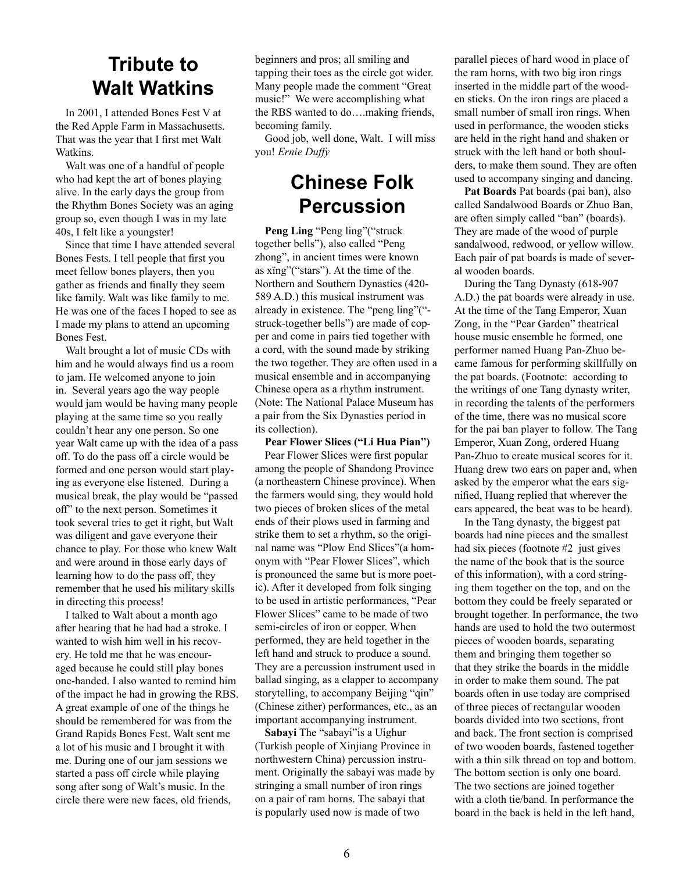#### **Tribute to Walt Watkins**

In 2001, I attended Bones Fest V at the Red Apple Farm in Massachusetts. That was the year that I first met Walt Watkins.

Walt was one of a handful of people who had kept the art of bones playing alive. In the early days the group from the Rhythm Bones Society was an aging group so, even though I was in my late 40s, I felt like a youngster!

Since that time I have attended several Bones Fests. I tell people that first you meet fellow bones players, then you gather as friends and finally they seem like family. Walt was like family to me. He was one of the faces I hoped to see as I made my plans to attend an upcoming Bones Fest.

Walt brought a lot of music CDs with him and he would always find us a room to jam. He welcomed anyone to join in. Several years ago the way people would jam would be having many people playing at the same time so you really couldn't hear any one person. So one year Walt came up with the idea of a pass off. To do the pass off a circle would be formed and one person would start playing as everyone else listened. During a musical break, the play would be "passed off" to the next person. Sometimes it took several tries to get it right, but Walt was diligent and gave everyone their chance to play. For those who knew Walt and were around in those early days of learning how to do the pass off, they remember that he used his military skills in directing this process!

I talked to Walt about a month ago after hearing that he had had a stroke. I wanted to wish him well in his recovery. He told me that he was encouraged because he could still play bones one-handed. I also wanted to remind him of the impact he had in growing the RBS. A great example of one of the things he should be remembered for was from the Grand Rapids Bones Fest. Walt sent me a lot of his music and I brought it with me. During one of our jam sessions we started a pass off circle while playing song after song of Walt's music. In the circle there were new faces, old friends,

beginners and pros; all smiling and tapping their toes as the circle got wider. Many people made the comment "Great music!" We were accomplishing what the RBS wanted to do….making friends, becoming family.

Good job, well done, Walt. I will miss you! *Ernie Duffy*

#### **Chinese Folk Percussion**

Peng Ling "Peng ling"("struck together bells"), also called "Peng zhong", in ancient times were known as xïng"("stars"). At the time of the Northern and Southern Dynasties (420- 589 A.D.) this musical instrument was already in existence. The "peng ling"(" struck-together bells") are made of copper and come in pairs tied together with a cord, with the sound made by striking the two together. They are often used in a musical ensemble and in accompanying Chinese opera as a rhythm instrument. (Note: The National Palace Museum has a pair from the Six Dynasties period in its collection).

#### **Pear Flower Slices ("Li Hua Pian")**

Pear Flower Slices were first popular among the people of Shandong Province (a northeastern Chinese province). When the farmers would sing, they would hold two pieces of broken slices of the metal ends of their plows used in farming and strike them to set a rhythm, so the original name was "Plow End Slices"(a homonym with "Pear Flower Slices", which is pronounced the same but is more poetic). After it developed from folk singing to be used in artistic performances, "Pear Flower Slices" came to be made of two semi-circles of iron or copper. When performed, they are held together in the left hand and struck to produce a sound. They are a percussion instrument used in ballad singing, as a clapper to accompany storytelling, to accompany Beijing "qin" (Chinese zither) performances, etc., as an important accompanying instrument.

**Sabayi** The "sabayi"is a Uighur (Turkish people of Xinjiang Province in northwestern China) percussion instrument. Originally the sabayi was made by stringing a small number of iron rings on a pair of ram horns. The sabayi that is popularly used now is made of two

parallel pieces of hard wood in place of the ram horns, with two big iron rings inserted in the middle part of the wooden sticks. On the iron rings are placed a small number of small iron rings. When used in performance, the wooden sticks are held in the right hand and shaken or struck with the left hand or both shoulders, to make them sound. They are often used to accompany singing and dancing.

**Pat Boards** Pat boards (pai ban), also called Sandalwood Boards or Zhuo Ban, are often simply called "ban" (boards). They are made of the wood of purple sandalwood, redwood, or yellow willow. Each pair of pat boards is made of several wooden boards.

During the Tang Dynasty (618-907 A.D.) the pat boards were already in use. At the time of the Tang Emperor, Xuan Zong, in the "Pear Garden" theatrical house music ensemble he formed, one performer named Huang Pan-Zhuo became famous for performing skillfully on the pat boards. (Footnote: according to the writings of one Tang dynasty writer, in recording the talents of the performers of the time, there was no musical score for the pai ban player to follow. The Tang Emperor, Xuan Zong, ordered Huang Pan-Zhuo to create musical scores for it. Huang drew two ears on paper and, when asked by the emperor what the ears signified, Huang replied that wherever the ears appeared, the beat was to be heard).

In the Tang dynasty, the biggest pat boards had nine pieces and the smallest had six pieces (footnote #2 just gives the name of the book that is the source of this information), with a cord stringing them together on the top, and on the bottom they could be freely separated or brought together. In performance, the two hands are used to hold the two outermost pieces of wooden boards, separating them and bringing them together so that they strike the boards in the middle in order to make them sound. The pat boards often in use today are comprised of three pieces of rectangular wooden boards divided into two sections, front and back. The front section is comprised of two wooden boards, fastened together with a thin silk thread on top and bottom. The bottom section is only one board. The two sections are joined together with a cloth tie/band. In performance the board in the back is held in the left hand,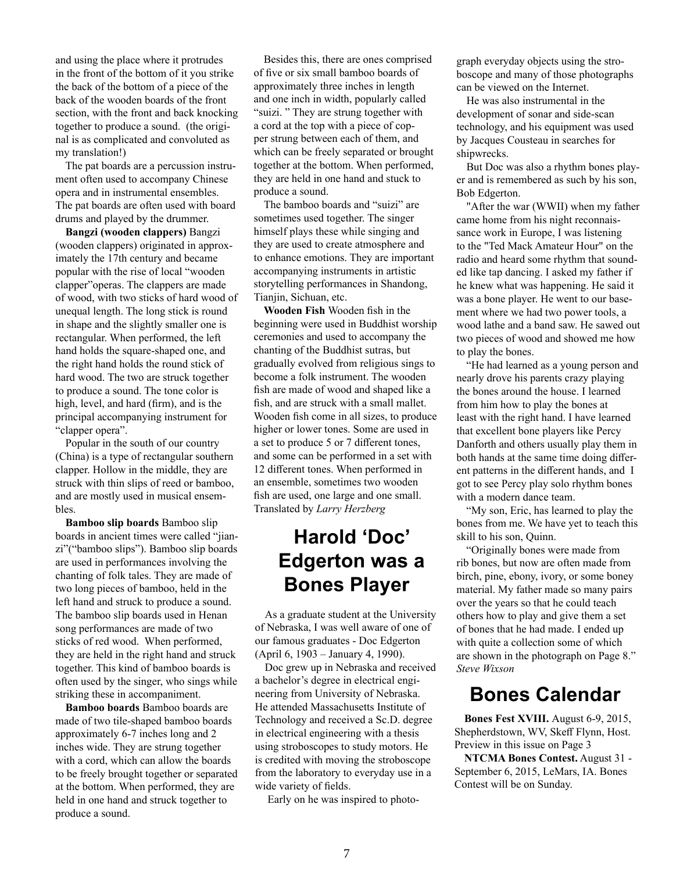and using the place where it protrudes in the front of the bottom of it you strike the back of the bottom of a piece of the back of the wooden boards of the front section, with the front and back knocking together to produce a sound. (the original is as complicated and convoluted as my translation!)

The pat boards are a percussion instrument often used to accompany Chinese opera and in instrumental ensembles. The pat boards are often used with board drums and played by the drummer.

**Bangzi (wooden clappers)** Bangzi (wooden clappers) originated in approximately the 17th century and became popular with the rise of local "wooden clapper"operas. The clappers are made of wood, with two sticks of hard wood of unequal length. The long stick is round in shape and the slightly smaller one is rectangular. When performed, the left hand holds the square-shaped one, and the right hand holds the round stick of hard wood. The two are struck together to produce a sound. The tone color is high, level, and hard (firm), and is the principal accompanying instrument for "clapper opera".

Popular in the south of our country (China) is a type of rectangular southern clapper. Hollow in the middle, they are struck with thin slips of reed or bamboo, and are mostly used in musical ensembles.

**Bamboo slip boards** Bamboo slip boards in ancient times were called "jianzi"("bamboo slips"). Bamboo slip boards are used in performances involving the chanting of folk tales. They are made of two long pieces of bamboo, held in the left hand and struck to produce a sound. The bamboo slip boards used in Henan song performances are made of two sticks of red wood. When performed, they are held in the right hand and struck together. This kind of bamboo boards is often used by the singer, who sings while striking these in accompaniment.

**Bamboo boards** Bamboo boards are made of two tile-shaped bamboo boards approximately 6-7 inches long and 2 inches wide. They are strung together with a cord, which can allow the boards to be freely brought together or separated at the bottom. When performed, they are held in one hand and struck together to produce a sound.

Besides this, there are ones comprised of five or six small bamboo boards of approximately three inches in length and one inch in width, popularly called "suizi. " They are strung together with a cord at the top with a piece of copper strung between each of them, and which can be freely separated or brought together at the bottom. When performed, they are held in one hand and stuck to produce a sound.

The bamboo boards and "suizi" are sometimes used together. The singer himself plays these while singing and they are used to create atmosphere and to enhance emotions. They are important accompanying instruments in artistic storytelling performances in Shandong, Tianiin, Sichuan, etc.

**Wooden Fish** Wooden fish in the beginning were used in Buddhist worship ceremonies and used to accompany the chanting of the Buddhist sutras, but gradually evolved from religious sings to become a folk instrument. The wooden fish are made of wood and shaped like a fish, and are struck with a small mallet. Wooden fish come in all sizes, to produce higher or lower tones. Some are used in a set to produce 5 or 7 different tones, and some can be performed in a set with 12 different tones. When performed in an ensemble, sometimes two wooden fish are used, one large and one small. Translated by *Larry Herzberg*

#### **Harold 'Doc' Edgerton was a Bones Player**

As a graduate student at the University of Nebraska, I was well aware of one of our famous graduates - Doc Edgerton (April 6, 1903 – January 4, 1990).

Doc grew up in Nebraska and received a bachelor's degree in electrical engineering from University of Nebraska. He attended Massachusetts Institute of Technology and received a Sc.D. degree in electrical engineering with a thesis using stroboscopes to study motors. He is credited with moving the stroboscope from the laboratory to everyday use in a wide variety of fields.

Early on he was inspired to photo-

graph everyday objects using the stroboscope and many of those photographs can be viewed on the Internet.

He was also instrumental in the development of sonar and side-scan technology, and his equipment was used by Jacques Cousteau in searches for shipwrecks.

But Doc was also a rhythm bones player and is remembered as such by his son, Bob Edgerton.

"After the war (WWII) when my father came home from his night reconnaissance work in Europe, I was listening to the "Ted Mack Amateur Hour" on the radio and heard some rhythm that sounded like tap dancing. I asked my father if he knew what was happening. He said it was a bone player. He went to our basement where we had two power tools, a wood lathe and a band saw. He sawed out two pieces of wood and showed me how to play the bones.

"He had learned as a young person and nearly drove his parents crazy playing the bones around the house. I learned from him how to play the bones at least with the right hand. I have learned that excellent bone players like Percy Danforth and others usually play them in both hands at the same time doing different patterns in the different hands, and I got to see Percy play solo rhythm bones with a modern dance team.

"My son, Eric, has learned to play the bones from me. We have yet to teach this skill to his son, Quinn.

"Originally bones were made from rib bones, but now are often made from birch, pine, ebony, ivory, or some boney material. My father made so many pairs over the years so that he could teach others how to play and give them a set of bones that he had made. I ended up with quite a collection some of which are shown in the photograph on Page 8." *Steve Wixson*

#### **Bones Calendar**

**Bones Fest XVIII.** August 6-9, 2015, Shepherdstown, WV, Skeff Flynn, Host. Preview in this issue on Page 3

**NTCMA Bones Contest.** August 31 - September 6, 2015, LeMars, IA. Bones Contest will be on Sunday.